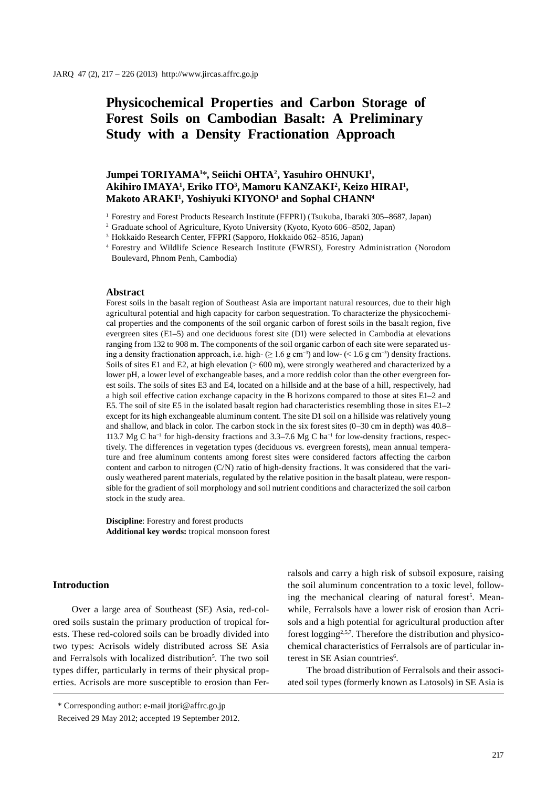# **Physicochemical Properties and Carbon Storage of Forest Soils on Cambodian Basalt: A Preliminary Study with a Density Fractionation Approach**

# **Jumpei TORIYAMA1** \***, Seiichi OHTA2 , Yasuhiro OHNUKI1 , Akihiro IMAYA1 , Eriko ITO3 , Mamoru KANZAKI2 , Keizo HIRAI1 , Makoto ARAKI1 , Yoshiyuki KIYONO1 and Sophal CHANN4**

1 Forestry and Forest Products Research Institute (FFPRI) (Tsukuba, Ibaraki 305–8687, Japan)

2 Graduate school of Agriculture, Kyoto University (Kyoto, Kyoto 606–8502, Japan)

3 Hokkaido Research Center, FFPRI (Sapporo, Hokkaido 062–8516, Japan)

<sup>4</sup> Forestry and Wildlife Science Research Institute (FWRSI), Forestry Administration (Norodom Boulevard, Phnom Penh, Cambodia)

#### **Abstract**

Forest soils in the basalt region of Southeast Asia are important natural resources, due to their high agricultural potential and high capacity for carbon sequestration. To characterize the physicochemical properties and the components of the soil organic carbon of forest soils in the basalt region, five evergreen sites (E1–5) and one deciduous forest site (D1) were selected in Cambodia at elevations ranging from 132 to 908 m. The components of the soil organic carbon of each site were separated using a density fractionation approach, i.e. high- ( $\geq 1.6$  g cm<sup>-3</sup>) and low- (< 1.6 g cm<sup>-3</sup>) density fractions. Soils of sites E1 and E2, at high elevation (> 600 m), were strongly weathered and characterized by a lower pH, a lower level of exchangeable bases, and a more reddish color than the other evergreen forest soils. The soils of sites E3 and E4, located on a hillside and at the base of a hill, respectively, had a high soil effective cation exchange capacity in the B horizons compared to those at sites E1–2 and E5. The soil of site E5 in the isolated basalt region had characteristics resembling those in sites E1–2 except for its high exchangeable aluminum content. The site D1 soil on a hillside was relatively young and shallow, and black in color. The carbon stock in the six forest sites (0–30 cm in depth) was 40.8– 113.7 Mg C ha−1 for high-density fractions and 3.3–7.6 Mg C ha−1 for low-density fractions, respectively. The differences in vegetation types (deciduous vs. evergreen forests), mean annual temperature and free aluminum contents among forest sites were considered factors affecting the carbon content and carbon to nitrogen (C/N) ratio of high-density fractions. It was considered that the variously weathered parent materials, regulated by the relative position in the basalt plateau, were responsible for the gradient of soil morphology and soil nutrient conditions and characterized the soil carbon stock in the study area.

**Discipline**: Forestry and forest products **Additional key words:** tropical monsoon forest

## **Introduction**

Over a large area of Southeast (SE) Asia, red-colored soils sustain the primary production of tropical forests. These red-colored soils can be broadly divided into two types: Acrisols widely distributed across SE Asia and Ferralsols with localized distribution<sup>5</sup>. The two soil types differ, particularly in terms of their physical properties. Acrisols are more susceptible to erosion than Ferralsols and carry a high risk of subsoil exposure, raising the soil aluminum concentration to a toxic level, following the mechanical clearing of natural forest<sup>5</sup>. Meanwhile, Ferralsols have a lower risk of erosion than Acrisols and a high potential for agricultural production after forest logging2,5,7. Therefore the distribution and physicochemical characteristics of Ferralsols are of particular interest in SE Asian countries<sup>6</sup>.

The broad distribution of Ferralsols and their associated soil types (formerly known as Latosols) in SE Asia is

<sup>\*</sup> Corresponding author: e-mail jtori@affrc.go.jp

Received 29 May 2012; accepted 19 September 2012.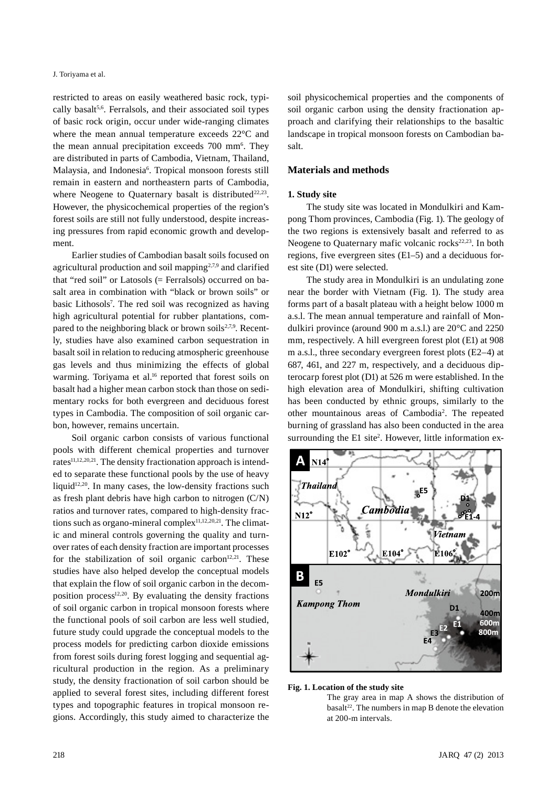#### J. Toriyama et al.

restricted to areas on easily weathered basic rock, typically basalt<sup>5,6</sup>. Ferralsols, and their associated soil types of basic rock origin, occur under wide-ranging climates where the mean annual temperature exceeds 22°C and the mean annual precipitation exceeds 700 mm<sup>6</sup>. They are distributed in parts of Cambodia, Vietnam, Thailand, Malaysia, and Indonesia<sup>6</sup>. Tropical monsoon forests still remain in eastern and northeastern parts of Cambodia, where Neogene to Quaternary basalt is distributed $22.23$ . However, the physicochemical properties of the region's forest soils are still not fully understood, despite increasing pressures from rapid economic growth and development.

Earlier studies of Cambodian basalt soils focused on agricultural production and soil mapping2,7,9 and clarified that "red soil" or Latosols (= Ferralsols) occurred on basalt area in combination with "black or brown soils" or basic Lithosols7 . The red soil was recognized as having high agricultural potential for rubber plantations, compared to the neighboring black or brown soils $2,7,9$ . Recently, studies have also examined carbon sequestration in basalt soil in relation to reducing atmospheric greenhouse gas levels and thus minimizing the effects of global warming. Toriyama et al.<sup>16</sup> reported that forest soils on basalt had a higher mean carbon stock than those on sedimentary rocks for both evergreen and deciduous forest types in Cambodia. The composition of soil organic carbon, however, remains uncertain.

Soil organic carbon consists of various functional pools with different chemical properties and turnover rates<sup>11,12,20,21</sup>. The density fractionation approach is intended to separate these functional pools by the use of heavy liquid<sup>12,20</sup>. In many cases, the low-density fractions such as fresh plant debris have high carbon to nitrogen (C/N) ratios and turnover rates, compared to high-density fractions such as organo-mineral complex $11,12,20,21$ . The climatic and mineral controls governing the quality and turnover rates of each density fraction are important processes for the stabilization of soil organic carbon<sup>12,21</sup>. These studies have also helped develop the conceptual models that explain the flow of soil organic carbon in the decomposition process $12,20$ . By evaluating the density fractions of soil organic carbon in tropical monsoon forests where the functional pools of soil carbon are less well studied, future study could upgrade the conceptual models to the process models for predicting carbon dioxide emissions from forest soils during forest logging and sequential agricultural production in the region. As a preliminary study, the density fractionation of soil carbon should be applied to several forest sites, including different forest types and topographic features in tropical monsoon regions. Accordingly, this study aimed to characterize the

soil physicochemical properties and the components of soil organic carbon using the density fractionation approach and clarifying their relationships to the basaltic landscape in tropical monsoon forests on Cambodian basalt.

## **Materials and methods**

#### **1. Study site**

The study site was located in Mondulkiri and Kampong Thom provinces, Cambodia (Fig. 1). The geology of the two regions is extensively basalt and referred to as Neogene to Quaternary mafic volcanic rocks $22,23$ . In both regions, five evergreen sites (E1–5) and a deciduous forest site (D1) were selected.

The study area in Mondulkiri is an undulating zone near the border with Vietnam (Fig. 1). The study area forms part of a basalt plateau with a height below 1000 m a.s.l. The mean annual temperature and rainfall of Mondulkiri province (around 900 m a.s.l.) are 20°C and 2250 mm, respectively. A hill evergreen forest plot (E1) at 908 m a.s.l., three secondary evergreen forest plots (E2–4) at 687, 461, and 227 m, respectively, and a deciduous dipterocarp forest plot (D1) at 526 m were established. In the high elevation area of Mondulkiri, shifting cultivation has been conducted by ethnic groups, similarly to the other mountainous areas of Cambodia2 . The repeated burning of grassland has also been conducted in the area surrounding the E1 site<sup>2</sup>. However, little information ex-



**Fig. 1. Location of the study site**

The gray area in map A shows the distribution of  $basalt<sup>22</sup>$ . The numbers in map B denote the elevation at 200-m intervals.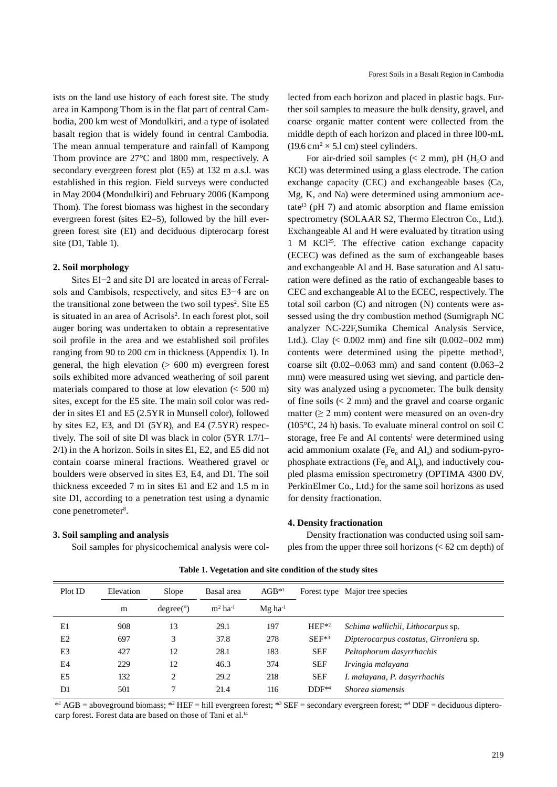ists on the land use history of each forest site. The study area in Kampong Thom is in the flat part of central Cambodia, 200 km west of Mondulkiri, and a type of isolated basalt region that is widely found in central Cambodia. The mean annual temperature and rainfall of Kampong Thom province are 27°C and 1800 mm, respectively. A secondary evergreen forest plot (E5) at 132 m a.s.l. was established in this region. Field surveys were conducted in May 2004 (Mondulkiri) and February 2006 (Kampong Thom). The forest biomass was highest in the secondary evergreen forest (sites E2–5), followed by the hill evergreen forest site (E1) and deciduous dipterocarp forest site (D1, Table 1).

## **2. Soil morphology**

Sites E1−2 and site D1 are located in areas of Ferralsols and Cambisols, respectively, and sites E3−4 are on the transitional zone between the two soil types<sup>2</sup>. Site E5 is situated in an area of Acrisols<sup>2</sup>. In each forest plot, soil auger boring was undertaken to obtain a representative soil profile in the area and we established soil profiles ranging from 90 to 200 cm in thickness (Appendix 1). In general, the high elevation  $(> 600 \text{ m})$  evergreen forest soils exhibited more advanced weathering of soil parent materials compared to those at low elevation (< 500 m) sites, except for the E5 site. The main soil color was redder in sites E1 and E5 (2.5YR in Munsell color), followed by sites E2, E3, and D1 (5YR), and E4 (7.5YR) respectively. The soil of site Dl was black in color (5YR 1.7/1– 2/1) in the A horizon. Soils in sites E1, E2, and E5 did not contain coarse mineral fractions. Weathered gravel or boulders were observed in sites E3, E4, and D1. The soil thickness exceeded 7 m in sites E1 and E2 and 1.5 m in site D1, according to a penetration test using a dynamic cone penetrometer<sup>8</sup>.

#### **3. Soil sampling and analysis**

Soil samples for physicochemical analysis were col-

lected from each horizon and placed in plastic bags. Further soil samples to measure the bulk density, gravel, and coarse organic matter content were collected from the middle depth of each horizon and placed in three l00-mL  $(19.6 \text{ cm}^2 \times 5.1 \text{ cm})$  steel cylinders.

For air-dried soil samples  $(< 2$  mm), pH (H<sub>2</sub>O and KCI) was determined using a glass electrode. The cation exchange capacity (CEC) and exchangeable bases (Ca, Mg, K, and Na) were determined using ammonium acetate<sup>13</sup> (pH 7) and atomic absorption and flame emission spectrometry (SOLAAR S2, Thermo Electron Co., Ltd.). Exchangeable Al and H were evaluated by titration using 1 M KCl<sup>25</sup>. The effective cation exchange capacity (ECEC) was defined as the sum of exchangeable bases and exchangeable Al and H. Base saturation and Al saturation were defined as the ratio of exchangeable bases to CEC and exchangeable Al to the ECEC, respectively. The total soil carbon (C) and nitrogen (N) contents were assessed using the dry combustion method (Sumigraph NC analyzer NC-22F,Sumika Chemical Analysis Service, Ltd.). Clay  $(< 0.002$  mm) and fine silt  $(0.002-002$  mm) contents were determined using the pipette method<sup>3</sup>, coarse silt  $(0.02-0.063$  mm) and sand content  $(0.063-2)$ mm) were measured using wet sieving, and particle density was analyzed using a pycnometer. The bulk density of fine soils  $(< 2$  mm) and the gravel and coarse organic matter  $(≥ 2 mm)$  content were measured on an oven-dry (105°C, 24 h) basis. To evaluate mineral control on soil C storage, free Fe and Al contents<sup>1</sup> were determined using acid ammonium oxalate (Fe<sub>o</sub> and  $AI<sub>o</sub>$ ) and sodium-pyrophosphate extractions (Fe<sub>p</sub> and  $AI<sub>p</sub>$ ), and inductively coupled plasma emission spectrometry (OPTIMA 4300 DV, PerkinElmer Co., Ltd.) for the same soil horizons as used for density fractionation.

#### **4. Density fractionation**

Density fractionation was conducted using soil samples from the upper three soil horizons (< 62 cm depth) of

| Plot ID        | Elevation | Slope     | Basal area            | $AGB^{*1}$            |            | Forest type Major tree species         |
|----------------|-----------|-----------|-----------------------|-----------------------|------------|----------------------------------------|
|                | m         | degree(°) | $m2$ ha <sup>-1</sup> | $Mg$ ha <sup>-1</sup> |            |                                        |
| E1             | 908       | 13        | 29.1                  | 197                   | $HEF^{*2}$ | Schima wallichii, Lithocarpus sp.      |
| E2             | 697       | 3         | 37.8                  | 278                   | $SEF^{*3}$ | Dipterocarpus costatus, Girroniera sp. |
| E <sub>3</sub> | 427       | 12        | 28.1                  | 183                   | <b>SEF</b> | Peltophorum dasyrrhachis               |
| E4             | 229       | 12        | 46.3                  | 374                   | <b>SEF</b> | Irvingia malayana                      |
| E5             | 132       | 2         | 29.2                  | 218                   | <b>SEF</b> | I. malayana, P. dasyrrhachis           |
| D1             | 501       | 7         | 21.4                  | 116                   | $DDF^{*4}$ | Shorea siamensis                       |

**Table 1. Vegetation and site condition of the study sites**

\*<sup>1</sup> AGB = aboveground biomass; \*<sup>2</sup> HEF = hill evergreen forest; \*<sup>3</sup> SEF = secondary evergreen forest; \*<sup>4</sup> DDF = deciduous dipterocarp forest. Forest data are based on those of Tani et al.<sup>14</sup>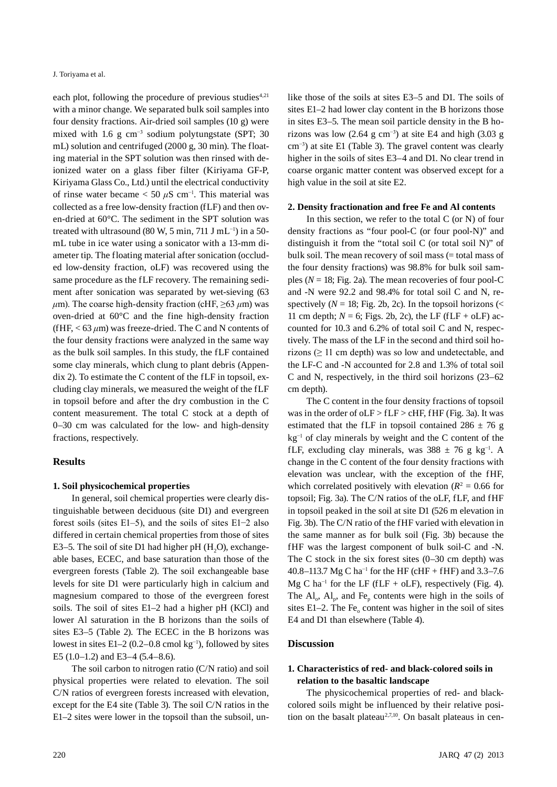each plot, following the procedure of previous studies<sup>4,21</sup> with a minor change. We separated bulk soil samples into four density fractions. Air-dried soil samples (10 g) were mixed with 1.6 g cm<sup>-3</sup> sodium polytungstate (SPT; 30 mL) solution and centrifuged (2000 g, 30 min). The floating material in the SPT solution was then rinsed with deionized water on a glass fiber filter (Kiriyama GF-P, Kiriyama Glass Co., Ltd.) until the electrical conductivity of rinse water became  $<$  50  $\mu$ S cm<sup>-1</sup>. This material was collected as a free low-density fraction (fLF) and then oven-dried at 60°C. The sediment in the SPT solution was treated with ultrasound (80 W, 5 min, 711 J mL<sup>-1</sup>) in a 50mL tube in ice water using a sonicator with a 13-mm diameter tip. The floating material after sonication (occluded low-density fraction, oLF) was recovered using the same procedure as the fLF recovery. The remaining sediment after sonication was separated by wet-sieving (63  $\mu$ m). The coarse high-density fraction (cHF,  $\geq$ 63  $\mu$ m) was oven-dried at 60°C and the fine high-density fraction (fHF,  $<$  63  $\mu$ m) was freeze-dried. The C and N contents of the four density fractions were analyzed in the same way as the bulk soil samples. In this study, the fLF contained some clay minerals, which clung to plant debris (Appendix 2). To estimate the C content of the fLF in topsoil, excluding clay minerals, we measured the weight of the fLF in topsoil before and after the dry combustion in the C content measurement. The total C stock at a depth of 0–30 cm was calculated for the low- and high-density fractions, respectively.

## **Results**

#### **1. Soil physicochemical properties**

In general, soil chemical properties were clearly distinguishable between deciduous (site D1) and evergreen forest soils (sites E1–5), and the soils of sites E1−2 also differed in certain chemical properties from those of sites E3–5. The soil of site D1 had higher pH  $(H<sub>2</sub>O)$ , exchangeable bases, ECEC, and base saturation than those of the evergreen forests (Table 2). The soil exchangeable base levels for site D1 were particularly high in calcium and magnesium compared to those of the evergreen forest soils. The soil of sites E1–2 had a higher pH (KCl) and lower Al saturation in the B horizons than the soils of sites E3–5 (Table 2). The ECEC in the B horizons was lowest in sites E1–2 (0.2–0.8 cmol kg−1), followed by sites E5 (1.0–1.2) and E3–4 (5.4–8.6).

The soil carbon to nitrogen ratio (C/N ratio) and soil physical properties were related to elevation. The soil C/N ratios of evergreen forests increased with elevation, except for the E4 site (Table 3). The soil C/N ratios in the E1–2 sites were lower in the topsoil than the subsoil, unlike those of the soils at sites E3–5 and D1. The soils of sites E1–2 had lower clay content in the B horizons those in sites E3–5. The mean soil particle density in the B horizons was low (2.64 g cm<sup>-3</sup>) at site E4 and high (3.03 g cm−3) at site E1 (Table 3). The gravel content was clearly higher in the soils of sites E3-4 and D1. No clear trend in coarse organic matter content was observed except for a high value in the soil at site E2.

#### **2. Density fractionation and free Fe and Al contents**

In this section, we refer to the total  $C$  (or  $N$ ) of four density fractions as "four pool-C (or four pool-N)" and distinguish it from the "total soil C (or total soil N)" of bulk soil. The mean recovery of soil mass (= total mass of the four density fractions) was 98.8% for bulk soil samples ( $N = 18$ ; Fig. 2a). The mean recoveries of four pool-C and -N were 92.2 and 98.4% for total soil C and N, respectively ( $N = 18$ ; Fig. 2b, 2c). In the topsoil horizons (< 11 cm depth;  $N = 6$ ; Figs. 2b, 2c), the LF (fLF + oLF) accounted for 10.3 and 6.2% of total soil C and N, respectively. The mass of the LF in the second and third soil horizons ( $\geq$  11 cm depth) was so low and undetectable, and the LF-C and -N accounted for 2.8 and 1.3% of total soil C and N, respectively, in the third soil horizons (23–62 cm depth).

The C content in the four density fractions of topsoil was in the order of oLF > fLF > cHF, fHF (Fig. 3a). It was estimated that the fLF in topsoil contained  $286 \pm 76$  g kg−1 of clay minerals by weight and the C content of the fLF, excluding clay minerals, was  $388 \pm 76$  g kg<sup>-1</sup>. A change in the C content of the four density fractions with elevation was unclear, with the exception of the fHF, which correlated positively with elevation ( $R^2 = 0.66$  for topsoil; Fig. 3a). The C/N ratios of the oLF, fLF, and fHF in topsoil peaked in the soil at site D1 (526 m elevation in Fig. 3b). The C/N ratio of the fHF varied with elevation in the same manner as for bulk soil (Fig. 3b) because the fHF was the largest component of bulk soil-C and -N. The C stock in the six forest sites (0–30 cm depth) was 40.8–113.7 Mg C ha<sup>-1</sup> for the HF (cHF + fHF) and 3.3–7.6 Mg C ha<sup>-1</sup> for the LF (fLF + oLF), respectively (Fig. 4). The  $Al_0$ ,  $Al_p$ , and Fe<sub>p</sub> contents were high in the soils of sites E1–2. The Fe $_{o}$  content was higher in the soil of sites E4 and D1 than elsewhere (Table 4).

## **Discussion**

## **1. Characteristics of red- and black-colored soils in relation to the basaltic landscape**

The physicochemical properties of red- and blackcolored soils might be influenced by their relative position on the basalt plateau<sup>2,7,10</sup>. On basalt plateaus in cen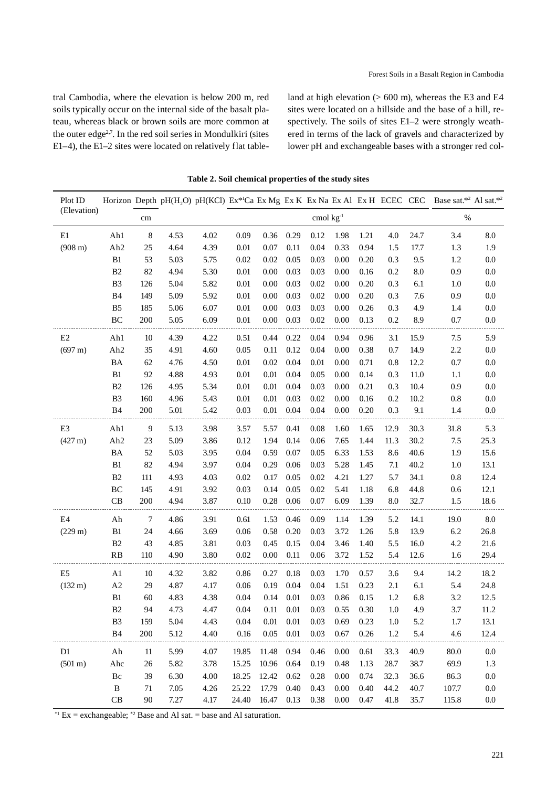tral Cambodia, where the elevation is below 200 m, red soils typically occur on the internal side of the basalt plateau, whereas black or brown soils are more common at the outer edge2,7. In the red soil series in Mondulkiri (sites E1–4), the E1–2 sites were located on relatively flat tableland at high elevation  $(> 600 \text{ m})$ , whereas the E3 and E4 sites were located on a hillside and the base of a hill, respectively. The soils of sites E1–2 were strongly weathered in terms of the lack of gravels and characterized by lower pH and exchangeable bases with a stronger red col-

| Plot ID                |                     |     |      |      |          |          |          |             |          |      |         |      | Horizon Depth pH(H,O) pH(KCl) Ex*lCa Ex Mg Ex K Ex Na Ex Al Ex H ECEC CEC Base sat.*2 Al sat.*2 |         |
|------------------------|---------------------|-----|------|------|----------|----------|----------|-------------|----------|------|---------|------|-------------------------------------------------------------------------------------------------|---------|
| (Elevation)            |                     | cm  |      |      |          |          |          | cmol $kg-1$ |          |      |         |      | $\%$                                                                                            |         |
| E1                     | Ah1                 | 8   | 4.53 | 4.02 | 0.09     | 0.36     | 0.29     | 0.12        | 1.98     | 1.21 | 4.0     | 24.7 | 3.4                                                                                             | 8.0     |
| $(908 \text{ m})$      | Ah2                 | 25  | 4.64 | 4.39 | 0.01     | 0.07     | 0.11     | 0.04        | 0.33     | 0.94 | 1.5     | 17.7 | 1.3                                                                                             | 1.9     |
|                        | B <sub>1</sub>      | 53  | 5.03 | 5.75 | 0.02     | 0.02     | 0.05     | 0.03        | 0.00     | 0.20 | 0.3     | 9.5  | 1.2                                                                                             | 0.0     |
|                        | B <sub>2</sub>      | 82  | 4.94 | 5.30 | 0.01     | 0.00     | 0.03     | 0.03        | 0.00     | 0.16 | 0.2     | 8.0  | 0.9                                                                                             | 0.0     |
|                        | B <sub>3</sub>      | 126 | 5.04 | 5.82 | 0.01     | 0.00     | 0.03     | 0.02        | 0.00     | 0.20 | 0.3     | 6.1  | 1.0                                                                                             | 0.0     |
|                        | B <sub>4</sub>      | 149 | 5.09 | 5.92 | 0.01     | 0.00     | 0.03     | 0.02        | 0.00     | 0.20 | 0.3     | 7.6  | 0.9                                                                                             | 0.0     |
|                        | B <sub>5</sub>      | 185 | 5.06 | 6.07 | 0.01     | $0.00\,$ | 0.03     | 0.03        | 0.00     | 0.26 | 0.3     | 4.9  | 1.4                                                                                             | 0.0     |
|                        | $\rm BC$            | 200 | 5.05 | 6.09 | 0.01     | 0.00     | 0.03     | 0.02        | 0.00     | 0.13 | 0.2     | 8.9  | 0.7                                                                                             | 0.0     |
| E2                     | Ah1                 | 10  | 4.39 | 4.22 | 0.51     | 0.44     | 0.22     | 0.04        | 0.94     | 0.96 | 3.1     | 15.9 | 7.5                                                                                             | 5.9     |
| (697 m)                | Ah <sub>2</sub>     | 35  | 4.91 | 4.60 | 0.05     | 0.11     | 0.12     | 0.04        | 0.00     | 0.38 | 0.7     | 14.9 | 2.2                                                                                             | 0.0     |
|                        | BA                  | 62  | 4.76 | 4.50 | 0.01     | 0.02     | 0.04     | 0.01        | 0.00     | 0.71 | 0.8     | 12.2 | $0.7\,$                                                                                         | 0.0     |
|                        | B1                  | 92  | 4.88 | 4.93 | 0.01     | 0.01     | 0.04     | 0.05        | 0.00     | 0.14 | 0.3     | 11.0 | 1.1                                                                                             | 0.0     |
|                        | B <sub>2</sub>      | 126 | 4.95 | 5.34 | 0.01     | $0.01\,$ | 0.04     | 0.03        | 0.00     | 0.21 | 0.3     | 10.4 | 0.9                                                                                             | 0.0     |
|                        | B <sub>3</sub>      | 160 | 4.96 | 5.43 | 0.01     | 0.01     | 0.03     | 0.02        | 0.00     | 0.16 | 0.2     | 10.2 | 0.8                                                                                             | 0.0     |
|                        | <b>B4</b>           | 200 | 5.01 | 5.42 | 0.03     | 0.01     | 0.04     | 0.04        | 0.00     | 0.20 | 0.3     | 9.1  | 1.4                                                                                             | 0.0     |
| $\mathop{\mathrm{E3}}$ | Ah1                 | 9   | 5.13 | 3.98 | 3.57     | 5.57     | 0.41     | 0.08        | 1.60     | 1.65 | 12.9    | 30.3 | 31.8                                                                                            | 5.3     |
| (427 m)                | Ah <sub>2</sub>     | 23  | 5.09 | 3.86 | 0.12     | 1.94     | 0.14     | 0.06        | 7.65     | 1.44 | 11.3    | 30.2 | 7.5                                                                                             | 25.3    |
|                        | BA                  | 52  | 5.03 | 3.95 | 0.04     | 0.59     | 0.07     | 0.05        | 6.33     | 1.53 | 8.6     | 40.6 | 1.9                                                                                             | 15.6    |
|                        | B1                  | 82  | 4.94 | 3.97 | 0.04     | 0.29     | 0.06     | 0.03        | 5.28     | 1.45 | 7.1     | 40.2 | 1.0                                                                                             | 13.1    |
|                        | B <sub>2</sub>      | 111 | 4.93 | 4.03 | 0.02     | 0.17     | 0.05     | 0.02        | 4.21     | 1.27 | 5.7     | 34.1 | 0.8                                                                                             | 12.4    |
|                        | $\rm BC$            | 145 | 4.91 | 3.92 | 0.03     | 0.14     | 0.05     | 0.02        | 5.41     | 1.18 | 6.8     | 44.8 | 0.6                                                                                             | 12.1    |
|                        | CB                  | 200 | 4.94 | 3.87 | 0.10     | 0.28     | 0.06     | 0.07        | 6.09     | 1.39 | 8.0     | 32.7 | 1.5                                                                                             | 18.6    |
| E4                     | Ah                  | 7   | 4.86 | 3.91 | 0.61     | 1.53     | 0.46     | 0.09        | 1.14     | 1.39 | 5.2     | 14.1 | 19.0                                                                                            | 8.0     |
| (229 m)                | B1                  | 24  | 4.66 | 3.69 | 0.06     | 0.58     | 0.20     | 0.03        | 3.72     | 1.26 | 5.8     | 13.9 | 6.2                                                                                             | 26.8    |
|                        | B <sub>2</sub>      | 43  | 4.85 | 3.81 | 0.03     | 0.45     | 0.15     | 0.04        | 3.46     | 1.40 | 5.5     | 16.0 | 4.2                                                                                             | 21.6    |
|                        | <b>RB</b>           | 110 | 4.90 | 3.80 | 0.02     | 0.00     | 0.11     | 0.06        | 3.72     | 1.52 | 5.4     | 12.6 | 1.6                                                                                             | 29.4    |
| E <sub>5</sub>         | A1                  | 10  | 4.32 | 3.82 | 0.86     | 0.27     | 0.18     | 0.03        | 1.70     | 0.57 | 3.6     | 9.4  | 14.2                                                                                            | 18.2    |
| $(132 \text{ m})$      | $\mathbf{A}2$       | 29  | 4.87 | 4.17 | 0.06     | 0.19     | 0.04     | 0.04        | 1.51     | 0.23 | 2.1     | 6.1  | 5.4                                                                                             | 24.8    |
|                        | B <sub>1</sub>      | 60  | 4.83 | 4.38 | 0.04     | 0.14     | 0.01     | 0.03        | 0.86     | 0.15 | 1.2     | 6.8  | 3.2                                                                                             | 12.5    |
|                        | $\mathbf{B}2$       | 94  | 4.73 | 4.47 | $0.04\,$ | 0.11     | $0.01\,$ | 0.03        | 0.55     | 0.30 | $1.0\,$ | 4.9  | 3.7                                                                                             | 11.2    |
|                        | B <sub>3</sub>      | 159 | 5.04 | 4.43 | 0.04     | 0.01     | 0.01     | 0.03        | 0.69     | 0.23 | 1.0     | 5.2  | 1.7                                                                                             | 13.1    |
|                        | B4                  | 200 | 5.12 | 4.40 | 0.16     | 0.05     | 0.01     | 0.03        | 0.67     | 0.26 | 1.2     | 5.4  | 4.6                                                                                             | 12.4    |
| D1                     | Ah                  | 11  | 5.99 | 4.07 | 19.85    | 11.48    | 0.94     | 0.46        | 0.00     | 0.61 | 33.3    | 40.9 | 80.0                                                                                            | 0.0     |
| $(501 \text{ m})$      | Ahc                 | 26  | 5.82 | 3.78 | 15.25    | 10.96    | 0.64     | 0.19        | 0.48     | 1.13 | 28.7    | 38.7 | 69.9                                                                                            | 1.3     |
|                        | $\rm Bc$            | 39  | 6.30 | 4.00 | 18.25    | 12.42    | 0.62     | 0.28        | 0.00     | 0.74 | 32.3    | 36.6 | 86.3                                                                                            | $0.0\,$ |
|                        | $\, {\bf B}$        | 71  | 7.05 | 4.26 | 25.22    | 17.79    | 0.40     | 0.43        | $0.00\,$ | 0.40 | 44.2    | 40.7 | 107.7                                                                                           | $0.0\,$ |
|                        | $\operatorname{CB}$ | 90  | 7.27 | 4.17 | 24.40    | 16.47    | 0.13     | 0.38        | $0.00\,$ | 0.47 | 41.8    | 35.7 | 115.8                                                                                           | 0.0     |

**Table 2. Soil chemical properties of the study sites**

 $*$ <sup>1</sup> Ex = exchangeable;  $*$ <sup>2</sup> Base and Al sat. = base and Al saturation.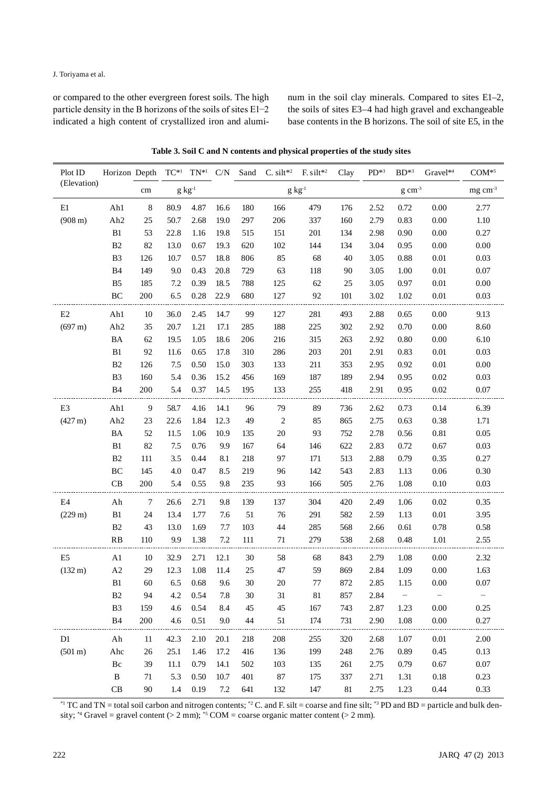or compared to the other evergreen forest soils. The high particle density in the B horizons of the soils of sites E1−2 indicated a high content of crystallized iron and aluminum in the soil clay minerals. Compared to sites E1–2, the soils of sites E3–4 had high gravel and exchangeable base contents in the B horizons. The soil of site E5, in the

| Plot ID           | Horizon Depth   |                |      |             |         |             | $TC^{*1}$ $TN^{*1}$ $C/N$ Sand C silt*2 F silt*2 |     | Clay | $PD^{*3}$ | $BD^{*3}$       | Gravel*4 | $COM^{*5}$ |
|-------------------|-----------------|----------------|------|-------------|---------|-------------|--------------------------------------------------|-----|------|-----------|-----------------|----------|------------|
| (Elevation)       |                 | $\rm cm$       |      | $g kg^{-1}$ |         | $g kg^{-1}$ |                                                  |     |      |           | $mg \, cm^{-3}$ |          |            |
| E1                | Ah1             | $\,8\,$        | 80.9 | 4.87        | 16.6    | 180         | 166                                              | 479 | 176  | 2.52      | 0.72            | 0.00     | 2.77       |
| $(908 \text{ m})$ | Ah <sub>2</sub> | 25             | 50.7 | 2.68        | 19.0    | 297         | 206                                              | 337 | 160  | 2.79      | 0.83            | 0.00     | 1.10       |
|                   | ${\bf B}1$      | 53             | 22.8 | 1.16        | 19.8    | 515         | 151                                              | 201 | 134  | 2.98      | 0.90            | 0.00     | 0.27       |
|                   | B2              | 82             | 13.0 | 0.67        | 19.3    | 620         | 102                                              | 144 | 134  | 3.04      | 0.95            | 0.00     | $0.00\,$   |
|                   | B <sub>3</sub>  | 126            | 10.7 | 0.57        | 18.8    | 806         | 85                                               | 68  | 40   | 3.05      | 0.88            | 0.01     | 0.03       |
|                   | B <sub>4</sub>  | 149            | 9.0  | 0.43        | 20.8    | 729         | 63                                               | 118 | 90   | 3.05      | 1.00            | 0.01     | $0.07\,$   |
|                   | B <sub>5</sub>  | 185            | 7.2  | 0.39        | 18.5    | 788         | 125                                              | 62  | 25   | 3.05      | 0.97            | $0.01\,$ | $0.00\,$   |
|                   | $\rm BC$        | 200            | 6.5  | 0.28        | 22.9    | 680         | 127                                              | 92  | 101  | 3.02      | 1.02            | $0.01\,$ | 0.03       |
| E2                | Ah1             | 10             | 36.0 | 2.45        | 14.7    | 99          | 127                                              | 281 | 493  | 2.88      | 0.65            | 0.00     | 9.13       |
| (697 m)           | Ah <sub>2</sub> | 35             | 20.7 | 1.21        | 17.1    | 285         | 188                                              | 225 | 302  | 2.92      | 0.70            | 0.00     | 8.60       |
|                   | BA              | 62             | 19.5 | 1.05        | 18.6    | 206         | 216                                              | 315 | 263  | 2.92      | 0.80            | 0.00     | 6.10       |
|                   | ${\bf B}1$      | 92             | 11.6 | 0.65        | 17.8    | 310         | 286                                              | 203 | 201  | 2.91      | 0.83            | 0.01     | 0.03       |
|                   | B2              | 126            | 7.5  | 0.50        | 15.0    | 303         | 133                                              | 211 | 353  | 2.95      | 0.92            | $0.01\,$ | $0.00\,$   |
|                   | B <sub>3</sub>  | 160            | 5.4  | 0.36        | 15.2    | 456         | 169                                              | 187 | 189  | 2.94      | 0.95            | $0.02\,$ | 0.03       |
|                   | B <sub>4</sub>  | 200            | 5.4  | 0.37        | 14.5    | 195         | 133                                              | 255 | 418  | 2.91      | 0.95            | 0.02     | $0.07\,$   |
| E <sub>3</sub>    | Ah1             | $\overline{9}$ | 58.7 | 4.16        | 14.1    | 96          | 79                                               | 89  | 736  | 2.62      | 0.73            | 0.14     | 6.39       |
| $(427 \text{ m})$ | Ah <sub>2</sub> | 23             | 22.6 | 1.84        | 12.3    | 49          | $\boldsymbol{2}$                                 | 85  | 865  | 2.75      | 0.63            | 0.38     | 1.71       |
|                   | BA              | 52             | 11.5 | 1.06        | 10.9    | 135         | 20                                               | 93  | 752  | 2.78      | 0.56            | 0.81     | 0.05       |
|                   | ${\bf B}1$      | 82             | 7.5  | 0.76        | 9.9     | 167         | 64                                               | 146 | 622  | 2.83      | 0.72            | 0.67     | 0.03       |
|                   | B2              | 111            | 3.5  | 0.44        | 8.1     | 218         | 97                                               | 171 | 513  | 2.88      | 0.79            | 0.35     | 0.27       |
|                   | $\rm BC$        | 145            | 4.0  | 0.47        | 8.5     | 219         | 96                                               | 142 | 543  | 2.83      | 1.13            | 0.06     | $0.30\,$   |
|                   | CB              | 200            | 5.4  | 0.55        | 9.8     | 235         | 93                                               | 166 | 505  | 2.76      | 1.08            | $0.10\,$ | 0.03       |
| E4                | Ah              | $\overline{7}$ | 26.6 | 2.71        | 9.8     | 139         | 137                                              | 304 | 420  | 2.49      | 1.06            | 0.02     | 0.35       |
| (229 m)           | ${\bf B}1$      | 24             | 13.4 | 1.77        | 7.6     | 51          | 76                                               | 291 | 582  | 2.59      | 1.13            | $0.01\,$ | 3.95       |
|                   | $\mathbf{B}2$   | 43             | 13.0 | 1.69        | 7.7     | 103         | $44\,$                                           | 285 | 568  | 2.66      | 0.61            | 0.78     | $0.58\,$   |
|                   | RB              | 110            | 9.9  | 1.38        | 7.2     | 111         | 71                                               | 279 | 538  | 2.68      | 0.48            | 1.01     | 2.55       |
| E <sub>5</sub>    | A1              | 10             | 32.9 | 2.71        | 12.1    | 30          | 58                                               | 68  | 843  | 2.79      | 1.08            | 0.00     | 2.32       |
| $(132 \text{ m})$ | $\mathbf{A2}$   | 29             | 12.3 | 1.08        | 11.4    | 25          | 47                                               | 59  | 869  | 2.84      | 1.09            | 0.00     | 1.63       |
|                   | B1              | 60             | 6.5  | 0.68        | 9.6     | 30          | 20                                               | 77  | 872  | 2.85      | 1.15            | $0.00\,$ | 0.07       |
|                   | B2              | 94             | 4.2  | 0.54        | 7.8     | 30          | 31                                               | 81  | 857  | 2.84      |                 |          |            |
|                   | B <sub>3</sub>  | 159            | 4.6  | 0.54        | 8.4     | 45          | 45                                               | 167 | 743  | 2.87      | 1.23            | 0.00     | 0.25       |
|                   | <b>B4</b>       | 200            | 4.6  | 0.51        | 9.0     | 44          | 51                                               | 174 | 731  | 2.90      | 1.08            | $0.00\,$ | 0.27       |
| D <sub>1</sub>    | Ah              | 11             | 42.3 | 2.10        | 20.1    | 218         | 208                                              | 255 | 320  | 2.68      | 1.07            | $0.01\,$ | 2.00       |
| (501 m)           | Ahc             | 26             | 25.1 | 1.46        | 17.2    | 416         | 136                                              | 199 | 248  | 2.76      | 0.89            | 0.45     | 0.13       |
|                   | Bc              | 39             | 11.1 | 0.79        | 14.1    | 502         | 103                                              | 135 | 261  | 2.75      | 0.79            | 0.67     | $0.07\,$   |
|                   | B               | 71             | 5.3  | 0.50        | 10.7    | 401         | 87                                               | 175 | 337  | 2.71      | 1.31            | $0.18\,$ | 0.23       |
|                   | CB              | 90             | 1.4  | 0.19        | $7.2\,$ | 641         | 132                                              | 147 | 81   | 2.75      | 1.23            | 0.44     | 0.33       |

**Table 3. Soil C and N contents and physical properties of the study sites**

\*1 TC and TN = total soil carbon and nitrogen contents; \*2 C. and F. silt = coarse and fine silt; \*3 PD and BD = particle and bulk density;  $*4$  Gravel = gravel content (> 2 mm);  $*5$  COM = coarse organic matter content (> 2 mm).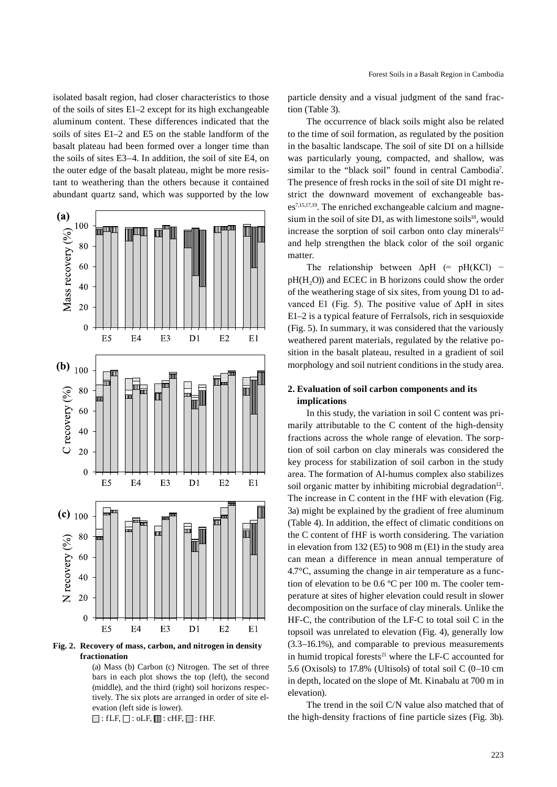isolated basalt region, had closer characteristics to those of the soils of sites E1–2 except for its high exchangeable aluminum content. These differences indicated that the soils of sites E1–2 and E5 on the stable landform of the basalt plateau had been formed over a longer time than the soils of sites E3–4. In addition, the soil of site E4, on the outer edge of the basalt plateau, might be more resistant to weathering than the others because it contained abundant quartz sand, which was supported by the low



**Fig. 2. Recovery of mass, carbon, and nitrogen in density fractionation**

(a) Mass (b) Carbon (c) Nitrogen. The set of three bars in each plot shows the top (left), the second (middle), and the third (right) soil horizons respectively. The six plots are arranged in order of site elevation (left side is lower).

 $\Box$ : fLF,  $\Box$ : oLF,  $\Box$  : cHF,  $\Box$ : fHF.

particle density and a visual judgment of the sand fraction (Table 3).

The occurrence of black soils might also be related to the time of soil formation, as regulated by the position in the basaltic landscape. The soil of site D1 on a hillside was particularly young, compacted, and shallow, was similar to the "black soil" found in central Cambodia<sup>7</sup>. The presence of fresh rocks in the soil of site D1 might restrict the downward movement of exchangeable bases7,15,17,19. The enriched exchangeable calcium and magnesium in the soil of site  $D1$ , as with limestone soils<sup>18</sup>, would increase the sorption of soil carbon onto clay minerals $12$ and help strengthen the black color of the soil organic matter.

The relationship between  $\Delta pH$  (= pH(KCl) –  $pH(H, O)$ ) and ECEC in B horizons could show the order of the weathering stage of six sites, from young D1 to advanced E1 (Fig. 5). The positive value of ∆pH in sites E1–2 is a typical feature of Ferralsols, rich in sesquioxide (Fig. 5). In summary, it was considered that the variously weathered parent materials, regulated by the relative position in the basalt plateau, resulted in a gradient of soil morphology and soil nutrient conditions in the study area.

# **2. Evaluation of soil carbon components and its implications**

In this study, the variation in soil C content was primarily attributable to the C content of the high-density fractions across the whole range of elevation. The sorption of soil carbon on clay minerals was considered the key process for stabilization of soil carbon in the study area. The formation of Al-humus complex also stabilizes soil organic matter by inhibiting microbial degradation $12$ . The increase in C content in the fHF with elevation (Fig. 3a) might be explained by the gradient of free aluminum (Table 4). In addition, the effect of climatic conditions on the C content of fHF is worth considering. The variation in elevation from 132 (E5) to 908 m (E1) in the study area can mean a difference in mean annual temperature of 4.7°C, assuming the change in air temperature as a function of elevation to be 0.6 ºC per 100 m. The cooler temperature at sites of higher elevation could result in slower decomposition on the surface of clay minerals. Unlike the HF-C, the contribution of the LF-C to total soil C in the topsoil was unrelated to elevation (Fig. 4), generally low (3.3–16.1%), and comparable to previous measurements in humid tropical forests $21$  where the LF-C accounted for 5.6 (Oxisols) to 17.8% (Ultisols) of total soil  $C$  (0–10 cm in depth, located on the slope of Mt. Kinabalu at 700 m in elevation).

The trend in the soil C/N value also matched that of the high-density fractions of fine particle sizes (Fig. 3b).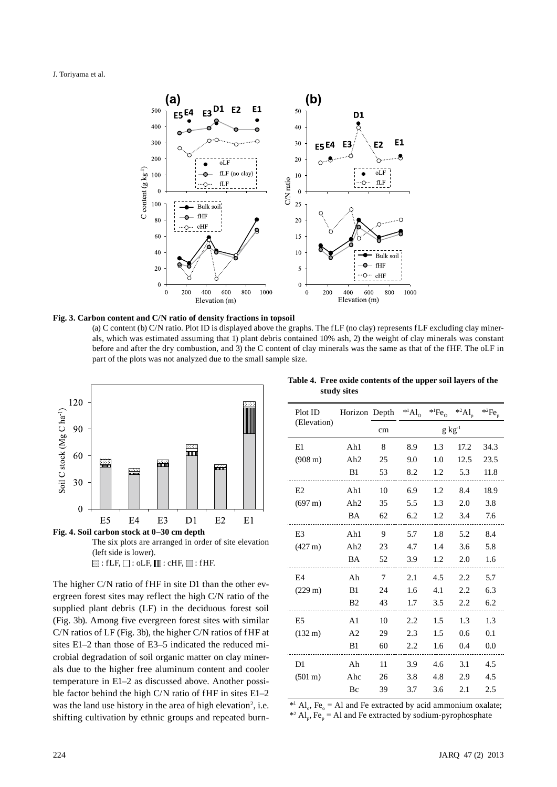#### J. Toriyama et al.



#### **Fig. 3. Carbon content and C/N ratio of density fractions in topsoil**

(a) C content (b) C/N ratio. Plot ID is displayed above the graphs. The fLF (no clay) represents fLF excluding clay minerals, which was estimated assuming that 1) plant debris contained 10% ash, 2) the weight of clay minerals was constant before and after the dry combustion, and 3) the C content of clay minerals was the same as that of the fHF. The oLF in part of the plots was not analyzed due to the small sample size.





The higher C/N ratio of fHF in site D1 than the other evergreen forest sites may reflect the high C/N ratio of the supplied plant debris (LF) in the deciduous forest soil (Fig. 3b). Among five evergreen forest sites with similar C/N ratios of LF (Fig. 3b), the higher C/N ratios of fHF at sites E1–2 than those of E3–5 indicated the reduced microbial degradation of soil organic matter on clay minerals due to the higher free aluminum content and cooler temperature in E1–2 as discussed above. Another possible factor behind the high C/N ratio of fHF in sites E1–2 was the land use history in the area of high elevation<sup>2</sup>, i.e. shifting cultivation by ethnic groups and repeated burn-

**Table 4. Free oxide contents of the upper soil layers of the study sites**

| Plot ID           | Horizon Depth   |    | $A_{\rm 1}$ |                     | $*$ <sup>1</sup> Fe <sub>0</sub> $*$ <sup>2</sup> Al <sub>p</sub> | $*^2Fe_p$ |
|-------------------|-----------------|----|-------------|---------------------|-------------------------------------------------------------------|-----------|
| (Elevation)       |                 | cm |             | $g \text{ kg}^{-1}$ |                                                                   |           |
| E1                | Ah1             | 8  | 8.9         | 1.3                 | 17.2                                                              | 34.3      |
| $(908 \text{ m})$ | Ah2             | 25 | 9.0         | 1.0                 | 12.5                                                              | 23.5      |
|                   | B1              | 53 | 8.2         | 1.2                 | 5.3                                                               | 11.8      |
| E <sub>2</sub>    | Ah1             | 10 | 6.9         | 1.2                 | 8.4                                                               | 18.9      |
| $(697 \text{ m})$ | Ah2             | 35 | 5.5         | 1.3                 | 2.0                                                               | 3.8       |
|                   | BA              | 62 | 6.2         | 1.2                 | 3.4                                                               | 7.6       |
| E <sub>3</sub>    | Ah1             | 9  | 5.7         | 1.8                 | 5.2                                                               | 8.4       |
| $(427 \text{ m})$ | Ah <sub>2</sub> | 23 | 4.7         | 1.4                 | 3.6                                                               | 5.8       |
|                   | BA              | 52 | 3.9         | 1.2                 | 2.0                                                               | 1.6       |
| E4                | Ah              | 7  | 2.1         | 4.5                 | 2.2                                                               | 5.7       |
| $(229 \text{ m})$ | B1              | 24 | 1.6         | 4.1                 | 2.2                                                               | 6.3       |
|                   | B <sub>2</sub>  | 43 | 1.7         | 3.5                 | 2.2                                                               | 6.2       |
| E <sub>5</sub>    | A <sub>1</sub>  | 10 | 2.2         | $1.5\,$             | 1.3                                                               | 1.3       |
| $(132 \text{ m})$ | A <sub>2</sub>  | 29 | 2.3         | 1.5                 | 0.6                                                               | 0.1       |
|                   | B1              | 60 | 2.2         | 1.6                 | 0.4                                                               | 0.0       |
| D1                | Ah              | 11 | 3.9         | 4.6                 | 3.1                                                               | 4.5       |
| $(501 \text{ m})$ | Ahc             | 26 | 3.8         | 4.8                 | 2.9                                                               | 4.5       |
|                   | Bc              | 39 | 3.7         | 3.6                 | 2.1                                                               | 2.5       |
|                   |                 |    |             |                     |                                                                   |           |

<sup>\*1</sup> Al<sub>o</sub>, Fe<sub>o</sub> = Al and Fe extracted by acid ammonium oxalate; <sup>\*2</sup> Al<sub>p</sub>, Fe<sub>p</sub> = Al and Fe extracted by sodium-pyrophosphate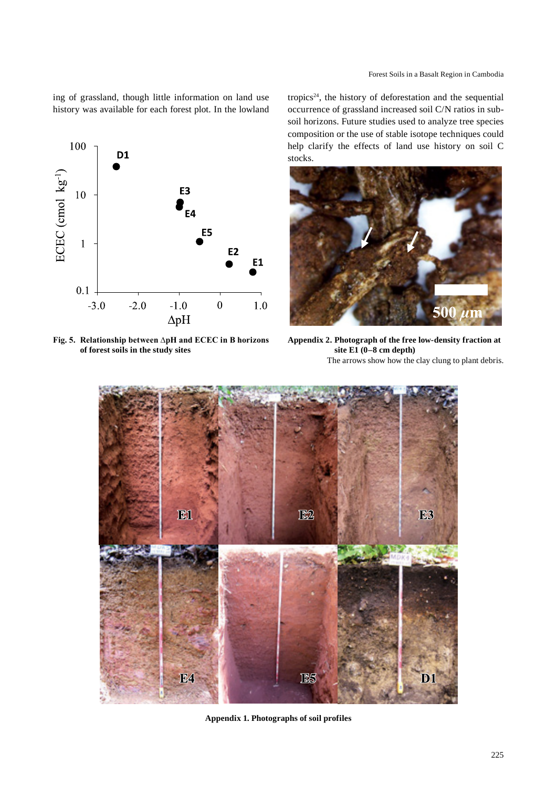ing of grassland, though little information on land use history was available for each forest plot. In the lowland



**Fig. 5. Relationship between ∆pH and ECEC in B horizons of forest soils in the study sites**

tropics<sup>24</sup>, the history of deforestation and the sequential occurrence of grassland increased soil C/N ratios in subsoil horizons. Future studies used to analyze tree species composition or the use of stable isotope techniques could help clarify the effects of land use history on soil C stocks.



**Appendix 2. Photograph of the free low-density fraction at site E1 (0–8 cm depth)** The arrows show how the clay clung to plant debris.



**Appendix 1. Photographs of soil profiles**